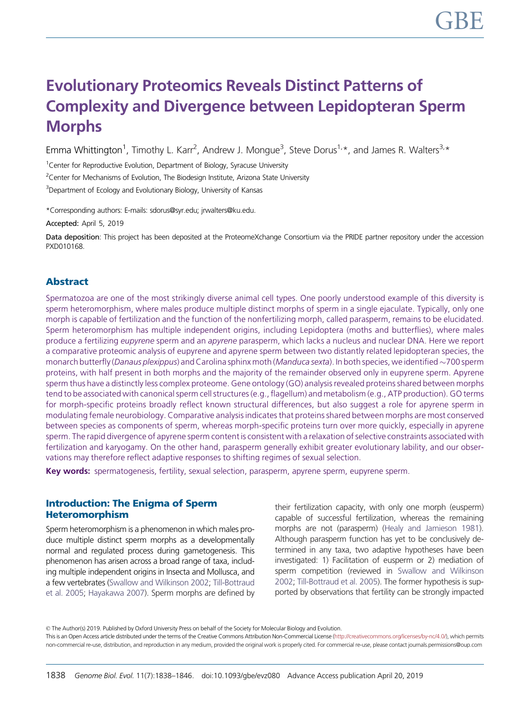# Evolutionary Proteomics Reveals Distinct Patterns of Complexity and Divergence between Lepidopteran Sperm **Morphs**

Emma Whittington<sup>1</sup>, Timothy L. Karr<sup>2</sup>, Andrew J. Mongue<sup>3</sup>, Steve Dorus<sup>1,\*</sup>, and James R. Walters<sup>3,\*</sup>

<sup>1</sup>Center for Reproductive Evolution, Department of Biology, Syracuse University

<sup>2</sup>Center for Mechanisms of Evolution, The Biodesign Institute, Arizona State University

<sup>3</sup>Department of Ecology and Evolutionary Biology, University of Kansas

\*Corresponding authors: E-mails: sdorus@syr.edu; jrwalters@ku.edu.

Accepted: April 5, 2019

Data deposition: This project has been deposited at the ProteomeXchange Consortium via the PRIDE partner repository under the accession PXD010168.

# Abstract

Spermatozoa are one of the most strikingly diverse animal cell types. One poorly understood example of this diversity is sperm heteromorphism, where males produce multiple distinct morphs of sperm in a single ejaculate. Typically, only one morph is capable of fertilization and the function of the nonfertilizing morph, called parasperm, remains to be elucidated. Sperm heteromorphism has multiple independent origins, including Lepidoptera (moths and butterflies), where males produce a fertilizing eupyrene sperm and an apyrene parasperm, which lacks a nucleus and nuclear DNA. Here we report a comparative proteomic analysis of eupyrene and apyrene sperm between two distantly related lepidopteran species, the monarch butterfly (*Danaus plexippus*) and Carolina sphinx moth (*Manduca sexta*). In both species, we identified  $\sim$ 700 sperm proteins, with half present in both morphs and the majority of the remainder observed only in eupyrene sperm. Apyrene sperm thus have a distinctly less complex proteome. Gene ontology (GO) analysis revealed proteins shared between morphs tend to be associated with canonical sperm cell structures (e.g., flagellum) and metabolism (e.g., ATP production). GO terms for morph-specific proteins broadly reflect known structural differences, but also suggest a role for apyrene sperm in modulating female neurobiology. Comparative analysis indicates that proteins shared between morphs are most conserved between species as components of sperm, whereas morph-specific proteins turn over more quickly, especially in apyrene sperm. The rapid divergence of apyrene sperm content is consistent with a relaxation of selective constraints associated with fertilization and karyogamy. On the other hand, parasperm generally exhibit greater evolutionary lability, and our observations may therefore reflect adaptive responses to shifting regimes of sexual selection.

Key words: spermatogenesis, fertility, sexual selection, parasperm, apyrene sperm, eupyrene sperm.

# Introduction: The Enigma of Sperm Heteromorphism

Sperm heteromorphism is a phenomenon in which males produce multiple distinct sperm morphs as a developmentally normal and regulated process during gametogenesis. This phenomenon has arisen across a broad range of taxa, including multiple independent origins in Insecta and Mollusca, and a few vertebrates [\(Swallow and Wilkinson 2002;](#page-8-0) [Till-Bottraud](#page-8-0) [et al. 2005](#page-8-0); [Hayakawa 2007\)](#page-8-0). Sperm morphs are defined by their fertilization capacity, with only one morph (eusperm) capable of successful fertilization, whereas the remaining morphs are not (parasperm) [\(Healy and Jamieson 1981\)](#page-8-0). Although parasperm function has yet to be conclusively determined in any taxa, two adaptive hypotheses have been investigated: 1) Facilitation of eusperm or 2) mediation of sperm competition (reviewed in [Swallow and Wilkinson](#page-8-0) [2002;](#page-8-0) [Till-Bottraud et al. 2005\)](#page-8-0). The former hypothesis is supported by observations that fertility can be strongly impacted

© The Author(s) 2019. Published by Oxford University Press on behalf of the Society for Molecular Biology and Evolution. This is an Open Access article distributed under the terms of the Creative Commons Attribution Non-Commercial License [\(http://creativecommons.org/licenses/by-nc/4.0/\)](http://creativecommons.org/licenses/by-nc/4.0/), which permits non-commercial re-use, distribution, and reproduction in any medium, provided the original work is properly cited. For commercial re-use, please contact journals.permissions@oup.com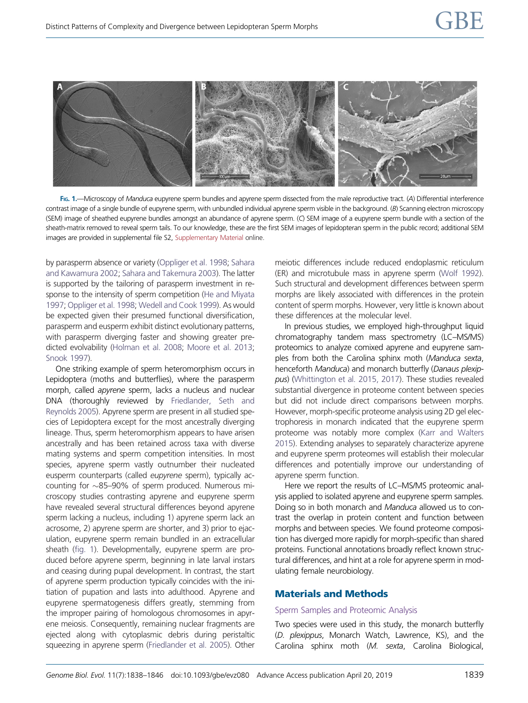<span id="page-1-0"></span>

FIG. 1.—Microscopy of Manduca eupyrene sperm bundles and apyrene sperm dissected from the male reproductive tract. (A) Differential interference contrast image of a single bundle of eupyrene sperm, with unbundled individual apyrene sperm visible in the background. (B) Scanning electron microscopy (SEM) image of sheathed eupyrene bundles amongst an abundance of apyrene sperm. (C) SEM image of a eupyrene sperm bundle with a section of the sheath-matrix removed to reveal sperm tails. To our knowledge, these are the first SEM images of lepidopteran sperm in the public record; additional SEM images are provided in supplemental file S2, [Supplementary Material](https://academic.oup.com/gbe/article-lookup/doi/10.1093/gbe/evz080#supplementary-data) online.

by parasperm absence or variety [\(Oppliger et al. 1998](#page-8-0); [Sahara](#page-8-0) [and Kawamura 2002](#page-8-0); [Sahara and Takemura 2003\)](#page-8-0). The latter is supported by the tailoring of parasperm investment in response to the intensity of sperm competition [\(He and Miyata](#page-8-0) [1997](#page-8-0); [Oppliger et al. 1998;](#page-8-0) [Wedell and Cook 1999\)](#page-8-0). As would be expected given their presumed functional diversification, parasperm and eusperm exhibit distinct evolutionary patterns, with parasperm diverging faster and showing greater predicted evolvability [\(Holman et al. 2008](#page-8-0); [Moore et al. 2013;](#page-8-0) [Snook 1997](#page-8-0)).

One striking example of sperm heteromorphism occurs in Lepidoptera (moths and butterflies), where the parasperm morph, called apyrene sperm, lacks a nucleus and nuclear DNA (thoroughly reviewed by [Friedlander, Seth and](#page-8-0) [Reynolds 2005](#page-8-0)). Apyrene sperm are present in all studied species of Lepidoptera except for the most ancestrally diverging lineage. Thus, sperm heteromorphism appears to have arisen ancestrally and has been retained across taxa with diverse mating systems and sperm competition intensities. In most species, apyrene sperm vastly outnumber their nucleated eusperm counterparts (called eupyrene sperm), typically accounting for -85–90% of sperm produced. Numerous microscopy studies contrasting apyrene and eupyrene sperm have revealed several structural differences beyond apyrene sperm lacking a nucleus, including 1) apyrene sperm lack an acrosome, 2) apyrene sperm are shorter, and 3) prior to ejaculation, eupyrene sperm remain bundled in an extracellular sheath (fig. 1). Developmentally, eupyrene sperm are produced before apyrene sperm, beginning in late larval instars and ceasing during pupal development. In contrast, the start of apyrene sperm production typically coincides with the initiation of pupation and lasts into adulthood. Apyrene and eupyrene spermatogenesis differs greatly, stemming from the improper pairing of homologous chromosomes in apyrene meiosis. Consequently, remaining nuclear fragments are ejected along with cytoplasmic debris during peristaltic squeezing in apyrene sperm ([Friedlander et al. 2005\)](#page-8-0). Other

meiotic differences include reduced endoplasmic reticulum (ER) and microtubule mass in apyrene sperm ([Wolf 1992\)](#page-8-0). Such structural and development differences between sperm morphs are likely associated with differences in the protein content of sperm morphs. However, very little is known about these differences at the molecular level.

In previous studies, we employed high-throughput liquid chromatography tandem mass spectrometry (LC–MS/MS) proteomics to analyze comixed apyrene and eupyrene samples from both the Carolina sphinx moth (Manduca sexta, henceforth Manduca) and monarch butterfly (Danaus plexippus) [\(Whittington et al. 2015, 2017\)](#page-8-0). These studies revealed substantial divergence in proteome content between species but did not include direct comparisons between morphs. However, morph-specific proteome analysis using 2D gel electrophoresis in monarch indicated that the eupyrene sperm proteome was notably more complex ([Karr and Walters](#page-8-0) [2015\)](#page-8-0). Extending analyses to separately characterize apyrene and eupyrene sperm proteomes will establish their molecular differences and potentially improve our understanding of apyrene sperm function.

Here we report the results of LC–MS/MS proteomic analysis applied to isolated apyrene and eupyrene sperm samples. Doing so in both monarch and Manduca allowed us to contrast the overlap in protein content and function between morphs and between species. We found proteome composition has diverged more rapidly for morph-specific than shared proteins. Functional annotations broadly reflect known structural differences, and hint at a role for apyrene sperm in modulating female neurobiology.

# Materials and Methods

## Sperm Samples and Proteomic Analysis

Two species were used in this study, the monarch butterfly (D. plexippus, Monarch Watch, Lawrence, KS), and the Carolina sphinx moth (M. sexta, Carolina Biological,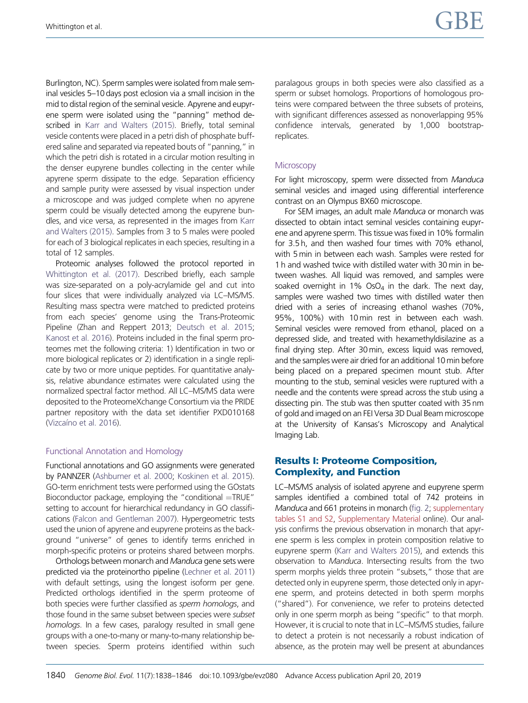Burlington, NC). Sperm samples were isolated from male seminal vesicles 5–10 days post eclosion via a small incision in the mid to distal region of the seminal vesicle. Apyrene and eupyrene sperm were isolated using the "panning" method described in [Karr and Walters \(2015\).](#page-8-0) Briefly, total seminal vesicle contents were placed in a petri dish of phosphate buffered saline and separated via repeated bouts of "panning," in which the petri dish is rotated in a circular motion resulting in the denser eupyrene bundles collecting in the center while apyrene sperm dissipate to the edge. Separation efficiency and sample purity were assessed by visual inspection under a microscope and was judged complete when no apyrene sperm could be visually detected among the eupyrene bundles, and vice versa, as represented in the images from [Karr](#page-8-0) [and Walters \(2015\)](#page-8-0). Samples from 3 to 5 males were pooled for each of 3 biological replicates in each species, resulting in a total of 12 samples.

Proteomic analyses followed the protocol reported in [Whittington et al. \(2017\)](#page-8-0). Described briefly, each sample was size-separated on a poly-acrylamide gel and cut into four slices that were individually analyzed via LC–MS/MS. Resulting mass spectra were matched to predicted proteins from each species' genome using the Trans-Proteomic Pipeline (Zhan and Reppert 2013; [Deutsch et al. 2015;](#page-8-0) [Kanost et al. 2016\)](#page-8-0). Proteins included in the final sperm proteomes met the following criteria: 1) Identification in two or more biological replicates or 2) identification in a single replicate by two or more unique peptides. For quantitative analysis, relative abundance estimates were calculated using the normalized spectral factor method. All LC–MS/MS data were deposited to the ProteomeXchange Consortium via the PRIDE partner repository with the data set identifier PXD010168 [\(Vizca](#page-8-0)í[no et al. 2016\)](#page-8-0).

### Functional Annotation and Homology

Functional annotations and GO assignments were generated by PANNZER [\(Ashburner et al. 2000](#page-8-0); [Koskinen et al. 2015](#page-8-0)). GO-term enrichment tests were performed using the GOstats Bioconductor package, employing the "conditional  $=$ TRUE" setting to account for hierarchical redundancy in GO classifications ([Falcon and Gentleman 2007\)](#page-8-0). Hypergeometric tests used the union of apyrene and eupyrene proteins as the background "universe" of genes to identify terms enriched in morph-specific proteins or proteins shared between morphs.

Orthologs between monarch and Manduca gene sets were predicted via the proteinortho pipeline [\(Lechner et al. 2011\)](#page-8-0) with default settings, using the longest isoform per gene. Predicted orthologs identified in the sperm proteome of both species were further classified as sperm homologs, and those found in the same subset between species were subset homologs. In a few cases, paralogy resulted in small gene groups with a one-to-many or many-to-many relationship between species. Sperm proteins identified within such paralagous groups in both species were also classified as a sperm or subset homologs. Proportions of homologous proteins were compared between the three subsets of proteins, with significant differences assessed as nonoverlapping 95% confidence intervals, generated by 1,000 bootstrapreplicates.

## **Microscopy**

For light microscopy, sperm were dissected from Manduca seminal vesicles and imaged using differential interference contrast on an Olympus BX60 microscope.

For SEM images, an adult male Manduca or monarch was dissected to obtain intact seminal vesicles containing eupyrene and apyrene sperm. This tissue was fixed in 10% formalin for 3.5 h, and then washed four times with 70% ethanol, with 5 min in between each wash. Samples were rested for 1 h and washed twice with distilled water with 30 min in between washes. All liquid was removed, and samples were soaked overnight in 1%  $OSO<sub>4</sub>$  in the dark. The next day, samples were washed two times with distilled water then dried with a series of increasing ethanol washes (70%, 95%, 100%) with 10 min rest in between each wash. Seminal vesicles were removed from ethanol, placed on a depressed slide, and treated with hexamethyldisilazine as a final drying step. After 30 min, excess liquid was removed, and the samples were air dried for an additional 10 min before being placed on a prepared specimen mount stub. After mounting to the stub, seminal vesicles were ruptured with a needle and the contents were spread across the stub using a dissecting pin. The stub was then sputter coated with 35 nm of gold and imaged on an FEI Versa 3D Dual Beam microscope at the University of Kansas's Microscopy and Analytical Imaging Lab.

# Results I: Proteome Composition, Complexity, and Function

LC–MS/MS analysis of isolated apyrene and eupyrene sperm samples identified a combined total of 742 proteins in Manduca and 661 proteins in monarch [\(fig. 2](#page-3-0); [supplementary](https://academic.oup.com/gbe/article-lookup/doi/10.1093/gbe/evz080#supplementary-data) [tables S1 and S2,](https://academic.oup.com/gbe/article-lookup/doi/10.1093/gbe/evz080#supplementary-data) [Supplementary Material](https://academic.oup.com/gbe/article-lookup/doi/10.1093/gbe/evz080#supplementary-data) online). Our analysis confirms the previous observation in monarch that apyrene sperm is less complex in protein composition relative to eupyrene sperm [\(Karr and Walters 2015\)](#page-8-0), and extends this observation to Manduca. Intersecting results from the two sperm morphs yields three protein "subsets," those that are detected only in eupyrene sperm, those detected only in apyrene sperm, and proteins detected in both sperm morphs ("shared"). For convenience, we refer to proteins detected only in one sperm morph as being "specific" to that morph. However, it is crucial to note that in LC–MS/MS studies, failure to detect a protein is not necessarily a robust indication of absence, as the protein may well be present at abundances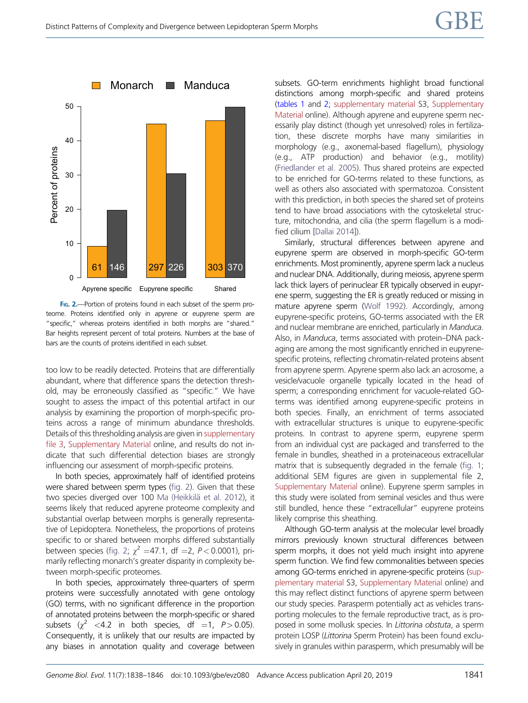<span id="page-3-0"></span>

FIG. 2.--- Portion of proteins found in each subset of the sperm proteome. Proteins identified only in apyrene or eupyrene sperm are "specific," whereas proteins identified in both morphs are "shared." Bar heights represent percent of total proteins. Numbers at the base of bars are the counts of proteins identified in each subset.

too low to be readily detected. Proteins that are differentially abundant, where that difference spans the detection threshold, may be erroneously classified as "specific." We have sought to assess the impact of this potential artifact in our analysis by examining the proportion of morph-specific proteins across a range of minimum abundance thresholds. Details of this thresholding analysis are given in [supplementary](https://academic.oup.com/gbe/article-lookup/doi/10.1093/gbe/evz080#supplementary-data) [file 3,](https://academic.oup.com/gbe/article-lookup/doi/10.1093/gbe/evz080#supplementary-data) [Supplementary Material](https://academic.oup.com/gbe/article-lookup/doi/10.1093/gbe/evz080#supplementary-data) online, and results do not indicate that such differential detection biases are strongly influencing our assessment of morph-specific proteins.

In both species, approximately half of identified proteins were shared between sperm types (fig. 2). Given that these two species diverged over 100 [Ma \(Heikkil](#page-8-0)ä et al. 2012), it seems likely that reduced apyrene proteome complexity and substantial overlap between morphs is generally representative of Lepidoptera. Nonetheless, the proportions of proteins specific to or shared between morphs differed substantially between species (fig. 2;  $\chi^2$  =47.1, df =2, P < 0.0001), primarily reflecting monarch's greater disparity in complexity between morph-specific proteomes.

In both species, approximately three-quarters of sperm proteins were successfully annotated with gene ontology (GO) terms, with no significant difference in the proportion of annotated proteins between the morph-specific or shared subsets ( $\gamma^2$  <4.2 in both species, df =1, P > 0.05). Consequently, it is unlikely that our results are impacted by any biases in annotation quality and coverage between subsets. GO-term enrichments highlight broad functional distinctions among morph-specific and shared proteins [\(tables 1](#page-4-0) and [2;](#page-5-0) [supplementary material](https://academic.oup.com/gbe/article-lookup/doi/10.1093/gbe/evz080#supplementary-data) S3, [Supplementary](https://academic.oup.com/gbe/article-lookup/doi/10.1093/gbe/evz080#supplementary-data) [Material](https://academic.oup.com/gbe/article-lookup/doi/10.1093/gbe/evz080#supplementary-data) online). Although apyrene and eupyrene sperm necessarily play distinct (though yet unresolved) roles in fertilization, these discrete morphs have many similarities in morphology (e.g., axonemal-based flagellum), physiology (e.g., ATP production) and behavior (e.g., motility) [\(Friedlander et al. 2005](#page-8-0)). Thus shared proteins are expected to be enriched for GO-terms related to these functions, as well as others also associated with spermatozoa. Consistent with this prediction, in both species the shared set of proteins tend to have broad associations with the cytoskeletal structure, mitochondria, and cilia (the sperm flagellum is a modified cilium [[Dallai 2014\]](#page-8-0)).

Similarly, structural differences between apyrene and eupyrene sperm are observed in morph-specific GO-term enrichments. Most prominently, apyrene sperm lack a nucleus and nuclear DNA. Additionally, during meiosis, apyrene sperm lack thick layers of perinuclear ER typically observed in eupyrene sperm, suggesting the ER is greatly reduced or missing in mature apyrene sperm [\(Wolf 1992](#page-8-0)). Accordingly, among eupyrene-specific proteins, GO-terms associated with the ER and nuclear membrane are enriched, particularly in Manduca. Also, in Manduca, terms associated with protein–DNA packaging are among the most significantly enriched in eupyrenespecific proteins, reflecting chromatin-related proteins absent from apyrene sperm. Apyrene sperm also lack an acrosome, a vesicle/vacuole organelle typically located in the head of sperm; a corresponding enrichment for vacuole-related GOterms was identified among eupyrene-specific proteins in both species. Finally, an enrichment of terms associated with extracellular structures is unique to eupyrene-specific proteins. In contrast to apyrene sperm, eupyrene sperm from an individual cyst are packaged and transferred to the female in bundles, sheathed in a proteinaceous extracellular matrix that is subsequently degraded in the female ([fig. 1](#page-1-0); additional SEM figures are given in supplemental file 2, [Supplementary Material](https://academic.oup.com/gbe/article-lookup/doi/10.1093/gbe/evz080#supplementary-data) online). Eupyrene sperm samples in this study were isolated from seminal vesicles and thus were still bundled, hence these "extracellular" eupyrene proteins likely comprise this sheathing.

Although GO-term analysis at the molecular level broadly mirrors previously known structural differences between sperm morphs, it does not yield much insight into apyrene sperm function. We find few commonalities between species among GO-terms enriched in apyrene-specific proteins [\(sup](https://academic.oup.com/gbe/article-lookup/doi/10.1093/gbe/evz080#supplementary-data)[plementary material](https://academic.oup.com/gbe/article-lookup/doi/10.1093/gbe/evz080#supplementary-data) S3, [Supplementary Material](https://academic.oup.com/gbe/article-lookup/doi/10.1093/gbe/evz080#supplementary-data) online) and this may reflect distinct functions of apyrene sperm between our study species. Parasperm potentially act as vehicles transporting molecules to the female reproductive tract, as is proposed in some mollusk species. In Littorina obstuta, a sperm protein LOSP (Littorina Sperm Protein) has been found exclusively in granules within parasperm, which presumably will be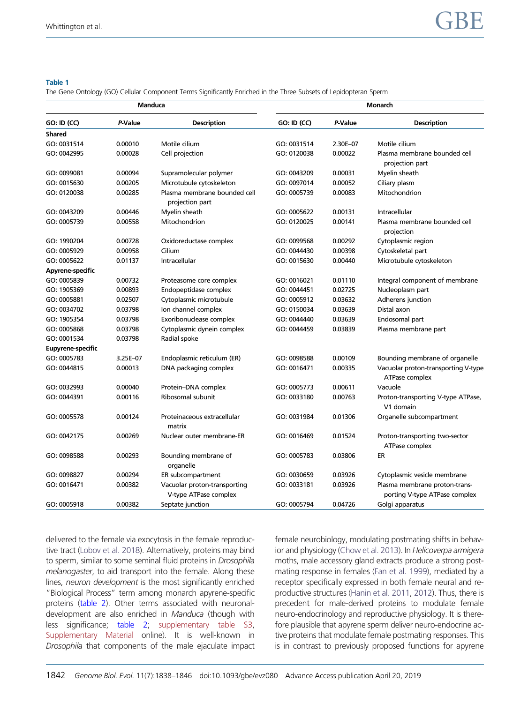#### <span id="page-4-0"></span>Table 1

The Gene Ontology (GO) Cellular Component Terms Significantly Enriched in the Three Subsets of Lepidopteran Sperm

| <b>Manduca</b>           |          |                                                       | <b>Monarch</b>     |          |                                                                |  |
|--------------------------|----------|-------------------------------------------------------|--------------------|----------|----------------------------------------------------------------|--|
| <b>GO: ID (CC)</b>       | P-Value  | <b>Description</b>                                    | <b>GO: ID (CC)</b> | P-Value  | <b>Description</b>                                             |  |
| <b>Shared</b>            |          |                                                       |                    |          |                                                                |  |
| GO: 0031514              | 0.00010  | Motile cilium                                         | GO: 0031514        | 2.30E-07 | Motile cilium                                                  |  |
| GO: 0042995              | 0.00028  | Cell projection                                       | GO: 0120038        | 0.00022  | Plasma membrane bounded cell<br>projection part                |  |
| GO: 0099081              | 0.00094  | Supramolecular polymer                                | GO: 0043209        | 0.00031  | Myelin sheath                                                  |  |
| GO: 0015630              | 0.00205  | Microtubule cytoskeleton                              | GO: 0097014        | 0.00052  | Ciliary plasm                                                  |  |
| GO: 0120038              | 0.00285  | Plasma membrane bounded cell<br>projection part       | GO: 0005739        | 0.00083  | Mitochondrion                                                  |  |
| GO: 0043209              | 0.00446  | Myelin sheath                                         | GO: 0005622        | 0.00131  | Intracellular                                                  |  |
| GO: 0005739              | 0.00558  | Mitochondrion                                         | GO: 0120025        | 0.00141  | Plasma membrane bounded cell<br>projection                     |  |
| GO: 1990204              | 0.00728  | Oxidoreductase complex                                | GO: 0099568        | 0.00292  | Cytoplasmic region                                             |  |
| GO: 0005929              | 0.00958  | Cilium                                                | GO: 0044430        | 0.00398  | Cytoskeletal part                                              |  |
| GO: 0005622              | 0.01137  | Intracellular                                         | GO: 0015630        | 0.00440  | Microtubule cytoskeleton                                       |  |
| Apyrene-specific         |          |                                                       |                    |          |                                                                |  |
| GO: 0005839              | 0.00732  | Proteasome core complex                               | GO: 0016021        | 0.01110  | Integral component of membrane                                 |  |
| GO: 1905369              | 0.00893  | Endopeptidase complex                                 | GO: 0044451        | 0.02725  | Nucleoplasm part                                               |  |
| GO: 0005881              | 0.02507  | Cytoplasmic microtubule                               | GO: 0005912        | 0.03632  | Adherens junction                                              |  |
| GO: 0034702              | 0.03798  | Ion channel complex                                   | GO: 0150034        | 0.03639  | Distal axon                                                    |  |
| GO: 1905354              | 0.03798  | Exoribonuclease complex                               | GO: 0044440        | 0.03639  | Endosomal part                                                 |  |
| GO: 0005868              | 0.03798  | Cytoplasmic dynein complex                            | GO: 0044459        | 0.03839  | Plasma membrane part                                           |  |
| GO: 0001534              | 0.03798  | Radial spoke                                          |                    |          |                                                                |  |
| <b>Eupyrene-specific</b> |          |                                                       |                    |          |                                                                |  |
| GO: 0005783              | 3.25E-07 | Endoplasmic reticulum (ER)                            | GO: 0098588        | 0.00109  | Bounding membrane of organelle                                 |  |
| GO: 0044815              | 0.00013  | DNA packaging complex                                 | GO: 0016471        | 0.00335  | Vacuolar proton-transporting V-type<br>ATPase complex          |  |
| GO: 0032993              | 0.00040  | Protein-DNA complex                                   | GO: 0005773        | 0.00611  | Vacuole                                                        |  |
| GO: 0044391              | 0.00116  | Ribosomal subunit                                     | GO: 0033180        | 0.00763  | Proton-transporting V-type ATPase,<br>V1 domain                |  |
| GO: 0005578              | 0.00124  | Proteinaceous extracellular<br>matrix                 | GO: 0031984        | 0.01306  | Organelle subcompartment                                       |  |
| GO: 0042175              | 0.00269  | Nuclear outer membrane-ER                             | GO: 0016469        | 0.01524  | Proton-transporting two-sector<br>ATPase complex               |  |
| GO: 0098588              | 0.00293  | Bounding membrane of<br>organelle                     | GO: 0005783        | 0.03806  | ER                                                             |  |
| GO: 0098827              | 0.00294  | ER subcompartment                                     | GO: 0030659        | 0.03926  | Cytoplasmic vesicle membrane                                   |  |
| GO: 0016471              | 0.00382  | Vacuolar proton-transporting<br>V-type ATPase complex | GO: 0033181        | 0.03926  | Plasma membrane proton-trans-<br>porting V-type ATPase complex |  |
| GO: 0005918              | 0.00382  | Septate junction                                      | GO: 0005794        | 0.04726  | Golgi apparatus                                                |  |

delivered to the female via exocytosis in the female reproductive tract [\(Lobov et al. 2018\)](#page-8-0). Alternatively, proteins may bind to sperm, similar to some seminal fluid proteins in Drosophila melanogaster, to aid transport into the female. Along these lines, neuron development is the most significantly enriched "Biological Process" term among monarch apyrene-specific proteins [\(table 2](#page-5-0)). Other terms associated with neuronaldevelopment are also enriched in Manduca (though with less significance; [table 2;](#page-5-0) [supplementary table S3,](https://academic.oup.com/gbe/article-lookup/doi/10.1093/gbe/evz080#supplementary-data) [Supplementary Material](https://academic.oup.com/gbe/article-lookup/doi/10.1093/gbe/evz080#supplementary-data) online). It is well-known in Drosophila that components of the male ejaculate impact female neurobiology, modulating postmating shifts in behavior and physiology ([Chow et al. 2013\)](#page-8-0). In Helicoverpa armigera moths, male accessory gland extracts produce a strong postmating response in females ([Fan et al. 1999\)](#page-8-0), mediated by a receptor specifically expressed in both female neural and reproductive structures [\(Hanin et al. 2011](#page-8-0), [2012\)](#page-8-0). Thus, there is precedent for male-derived proteins to modulate female neuro-endocrinology and reproductive physiology. It is therefore plausible that apyrene sperm deliver neuro-endocrine active proteins that modulate female postmating responses. This is in contrast to previously proposed functions for apyrene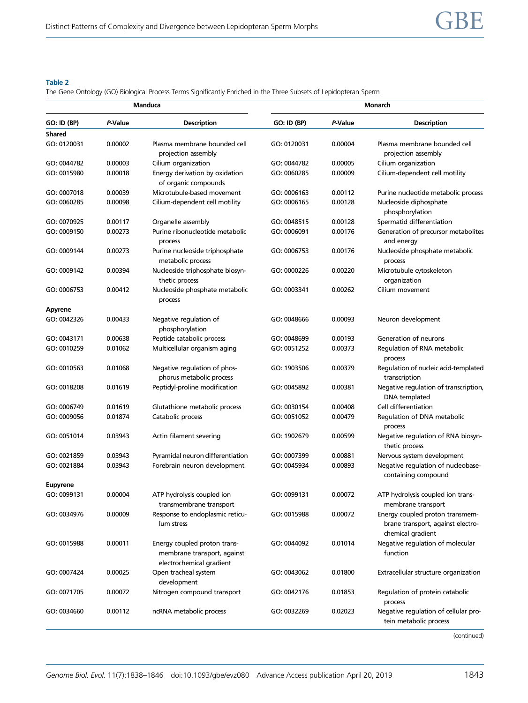## <span id="page-5-0"></span>Table 2

The Gene Ontology (GO) Biological Process Terms Significantly Enriched in the Three Subsets of Lepidopteran Sperm

| Manduca                      |         |                                                                                         | <b>Monarch</b>     |         |                                                                                           |  |
|------------------------------|---------|-----------------------------------------------------------------------------------------|--------------------|---------|-------------------------------------------------------------------------------------------|--|
| <b>GO: ID (BP)</b>           | P-Value | <b>Description</b>                                                                      | <b>GO: ID (BP)</b> | P-Value | <b>Description</b>                                                                        |  |
| <b>Shared</b><br>GO: 0120031 | 0.00002 | Plasma membrane bounded cell                                                            | GO: 0120031        | 0.00004 | Plasma membrane bounded cell                                                              |  |
|                              |         | projection assembly                                                                     |                    |         | projection assembly                                                                       |  |
| GO: 0044782                  | 0.00003 | Cilium organization                                                                     | GO: 0044782        | 0.00005 | Cilium organization                                                                       |  |
| GO: 0015980                  | 0.00018 | Energy derivation by oxidation<br>of organic compounds                                  | GO: 0060285        | 0.00009 | Cilium-dependent cell motility                                                            |  |
| GO: 0007018                  | 0.00039 | Microtubule-based movement                                                              | GO: 0006163        | 0.00112 | Purine nucleotide metabolic process                                                       |  |
| GO: 0060285                  | 0.00098 | Cilium-dependent cell motility                                                          | GO: 0006165        | 0.00128 | Nucleoside diphosphate<br>phosphorylation                                                 |  |
| GO: 0070925                  | 0.00117 | Organelle assembly                                                                      | GO: 0048515        | 0.00128 | Spermatid differentiation                                                                 |  |
| GO: 0009150                  | 0.00273 | Purine ribonucleotide metabolic<br>process                                              | GO: 0006091        | 0.00176 | Generation of precursor metabolites<br>and energy                                         |  |
| GO: 0009144                  | 0.00273 | Purine nucleoside triphosphate<br>metabolic process                                     | GO: 0006753        | 0.00176 | Nucleoside phosphate metabolic<br>process                                                 |  |
| GO: 0009142                  | 0.00394 | Nucleoside triphosphate biosyn-<br>thetic process                                       | GO: 0000226        | 0.00220 | Microtubule cytoskeleton<br>organization                                                  |  |
| GO: 0006753                  | 0.00412 | Nucleoside phosphate metabolic<br>process                                               | GO: 0003341        | 0.00262 | Cilium movement                                                                           |  |
| <b>Apyrene</b>               |         |                                                                                         |                    |         |                                                                                           |  |
| GO: 0042326                  | 0.00433 | Negative regulation of<br>phosphorylation                                               | GO: 0048666        | 0.00093 | Neuron development                                                                        |  |
| GO: 0043171                  | 0.00638 | Peptide catabolic process                                                               | GO: 0048699        | 0.00193 | Generation of neurons                                                                     |  |
| GO: 0010259                  | 0.01062 | Multicellular organism aging                                                            | GO: 0051252        | 0.00373 | Regulation of RNA metabolic<br>process                                                    |  |
| GO: 0010563                  | 0.01068 | Negative regulation of phos-<br>phorus metabolic process                                | GO: 1903506        | 0.00379 | Regulation of nucleic acid-templated<br>transcription                                     |  |
| GO: 0018208                  | 0.01619 | Peptidyl-proline modification                                                           | GO: 0045892        | 0.00381 | Negative regulation of transcription,<br>DNA templated                                    |  |
| GO: 0006749                  | 0.01619 | Glutathione metabolic process                                                           | GO: 0030154        | 0.00408 | Cell differentiation                                                                      |  |
| GO: 0009056                  | 0.01874 | Catabolic process                                                                       | GO: 0051052        | 0.00479 | Regulation of DNA metabolic<br>process                                                    |  |
| GO: 0051014                  | 0.03943 | Actin filament severing                                                                 | GO: 1902679        | 0.00599 | Negative regulation of RNA biosyn-<br>thetic process                                      |  |
| GO: 0021859                  | 0.03943 | Pyramidal neuron differentiation                                                        | GO: 0007399        | 0.00881 | Nervous system development                                                                |  |
| GO: 0021884                  | 0.03943 | Forebrain neuron development                                                            | GO: 0045934        | 0.00893 | Negative regulation of nucleobase-<br>containing compound                                 |  |
| <b>Eupyrene</b>              |         |                                                                                         |                    |         |                                                                                           |  |
| GO: 0099131                  | 0.00004 | ATP hydrolysis coupled ion<br>transmembrane transport                                   | GO: 0099131        | 0.00072 | ATP hydrolysis coupled ion trans-<br>membrane transport                                   |  |
| GO: 0034976                  | 0.00009 | Response to endoplasmic reticu-<br>lum stress                                           | GO: 0015988        | 0.00072 | Energy coupled proton transmem-<br>brane transport, against electro-<br>chemical gradient |  |
| GO: 0015988                  | 0.00011 | Energy coupled proton trans-<br>membrane transport, against<br>electrochemical gradient | GO: 0044092        | 0.01014 | Negative regulation of molecular<br>function                                              |  |
| GO: 0007424                  | 0.00025 | Open tracheal system<br>development                                                     | GO: 0043062        | 0.01800 | Extracellular structure organization                                                      |  |
| GO: 0071705                  | 0.00072 | Nitrogen compound transport                                                             | GO: 0042176        | 0.01853 | Regulation of protein catabolic<br>process                                                |  |
| GO: 0034660                  | 0.00112 | ncRNA metabolic process                                                                 | GO: 0032269        | 0.02023 | Negative regulation of cellular pro-<br>tein metabolic process                            |  |

(continued)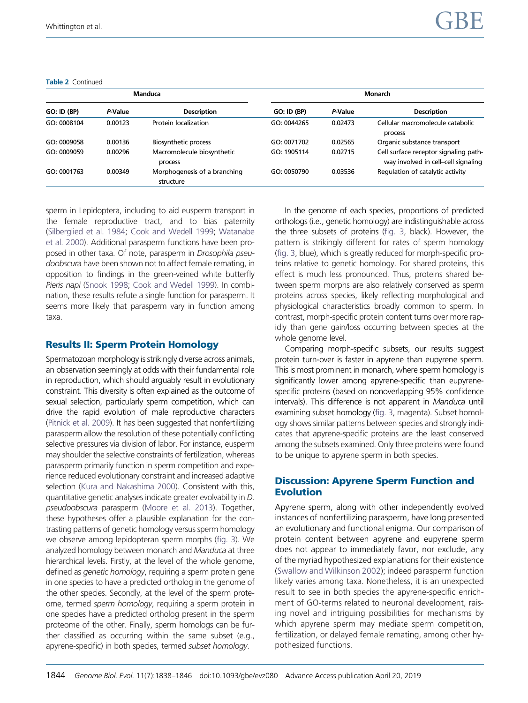#### Table 2 Continued

| Manduca            |         |                                           | <b>Monarch</b>     |         |                                                                              |
|--------------------|---------|-------------------------------------------|--------------------|---------|------------------------------------------------------------------------------|
| <b>GO: ID (BP)</b> | P-Value | <b>Description</b>                        | <b>GO: ID (BP)</b> | P-Value | <b>Description</b>                                                           |
| GO: 0008104        | 0.00123 | Protein localization                      | GO: 0044265        | 0.02473 | Cellular macromolecule catabolic<br>process                                  |
| GO: 0009058        | 0.00136 | <b>Biosynthetic process</b>               | GO: 0071702        | 0.02565 | Organic substance transport                                                  |
| GO: 0009059        | 0.00296 | Macromolecule biosynthetic<br>process     | GO: 1905114        | 0.02715 | Cell surface receptor signaling path-<br>way involved in cell-cell signaling |
| GO: 0001763        | 0.00349 | Morphogenesis of a branching<br>structure | GO: 0050790        | 0.03536 | Regulation of catalytic activity                                             |

sperm in Lepidoptera, including to aid eusperm transport in the female reproductive tract, and to bias paternity [\(Silberglied et al. 1984](#page-8-0); [Cook and Wedell 1999;](#page-8-0) [Watanabe](#page-8-0) [et al. 2000\)](#page-8-0). Additional parasperm functions have been proposed in other taxa. Of note, parasperm in Drosophila pseudoobscura have been shown not to affect female remating, in opposition to findings in the green-veined white butterfly Pieris napi ([Snook 1998](#page-8-0); [Cook and Wedell 1999](#page-8-0)). In combination, these results refute a single function for parasperm. It seems more likely that parasperm vary in function among taxa.

# Results II: Sperm Protein Homology

Spermatozoan morphology is strikingly diverse across animals, an observation seemingly at odds with their fundamental role in reproduction, which should arguably result in evolutionary constraint. This diversity is often explained as the outcome of sexual selection, particularly sperm competition, which can drive the rapid evolution of male reproductive characters [\(Pitnick et al. 2009\)](#page-8-0). It has been suggested that nonfertilizing parasperm allow the resolution of these potentially conflicting selective pressures via division of labor. For instance, eusperm may shoulder the selective constraints of fertilization, whereas parasperm primarily function in sperm competition and experience reduced evolutionary constraint and increased adaptive selection [\(Kura and Nakashima 2000\)](#page-8-0). Consistent with this, quantitative genetic analyses indicate greater evolvability in D. pseudoobscura parasperm [\(Moore et al. 2013](#page-8-0)). Together, these hypotheses offer a plausible explanation for the contrasting patterns of genetic homology versus sperm homology we observe among lepidopteran sperm morphs ([fig. 3\)](#page-7-0). We analyzed homology between monarch and Manduca at three hierarchical levels. Firstly, at the level of the whole genome, defined as genetic homology, requiring a sperm protein gene in one species to have a predicted ortholog in the genome of the other species. Secondly, at the level of the sperm proteome, termed sperm homology, requiring a sperm protein in one species have a predicted ortholog present in the sperm proteome of the other. Finally, sperm homologs can be further classified as occurring within the same subset (e.g., apyrene-specific) in both species, termed subset homology.

In the genome of each species, proportions of predicted orthologs (i.e., genetic homology) are indistinguishable across the three subsets of proteins [\(fig. 3,](#page-7-0) black). However, the pattern is strikingly different for rates of sperm homology [\(fig. 3,](#page-7-0) blue), which is greatly reduced for morph-specific proteins relative to genetic homology. For shared proteins, this effect is much less pronounced. Thus, proteins shared between sperm morphs are also relatively conserved as sperm proteins across species, likely reflecting morphological and physiological characteristics broadly common to sperm. In contrast, morph-specific protein content turns over more rapidly than gene gain/loss occurring between species at the whole genome level.

Comparing morph-specific subsets, our results suggest protein turn-over is faster in apyrene than eupyrene sperm. This is most prominent in monarch, where sperm homology is significantly lower among apyrene-specific than eupyrenespecific proteins (based on nonoverlapping 95% confidence intervals). This difference is not apparent in Manduca until examining subset homology [\(fig. 3](#page-7-0), magenta). Subset homology shows similar patterns between species and strongly indicates that apyrene-specific proteins are the least conserved among the subsets examined. Only three proteins were found to be unique to apyrene sperm in both species.

# Discussion: Apyrene Sperm Function and Evolution

Apyrene sperm, along with other independently evolved instances of nonfertilizing parasperm, have long presented an evolutionary and functional enigma. Our comparison of protein content between apyrene and eupyrene sperm does not appear to immediately favor, nor exclude, any of the myriad hypothesized explanations for their existence [\(Swallow and Wilkinson 2002\)](#page-8-0); indeed parasperm function likely varies among taxa. Nonetheless, it is an unexpected result to see in both species the apyrene-specific enrichment of GO-terms related to neuronal development, raising novel and intriguing possibilities for mechanisms by which apyrene sperm may mediate sperm competition, fertilization, or delayed female remating, among other hypothesized functions.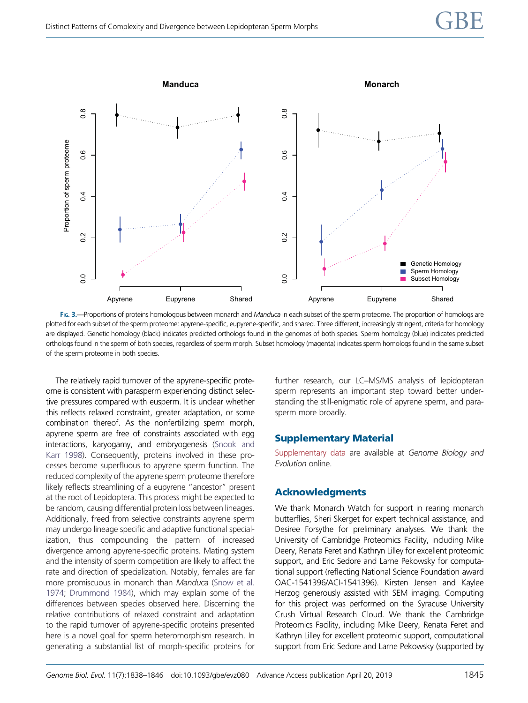<span id="page-7-0"></span>

FIG. 3.—Proportions of proteins homologous between monarch and Manduca in each subset of the sperm proteome. The proportion of homologs are plotted for each subset of the sperm proteome: apyrene-specific, eupyrene-specific, and shared. Three different, increasingly stringent, criteria for homology are displayed. Genetic homology (black) indicates predicted orthologs found in the genomes of both species. Sperm homology (blue) indicates predicted orthologs found in the sperm of both species, regardless of sperm morph. Subset homology (magenta) indicates sperm homologs found in the same subset of the sperm proteome in both species.

The relatively rapid turnover of the apyrene-specific proteome is consistent with parasperm experiencing distinct selective pressures compared with eusperm. It is unclear whether this reflects relaxed constraint, greater adaptation, or some combination thereof. As the nonfertilizing sperm morph, apyrene sperm are free of constraints associated with egg interactions, karyogamy, and embryogenesis [\(Snook and](#page-8-0) [Karr 1998\)](#page-8-0). Consequently, proteins involved in these processes become superfluous to apyrene sperm function. The reduced complexity of the apyrene sperm proteome therefore likely reflects streamlining of a eupyrene "ancestor" present at the root of Lepidoptera. This process might be expected to be random, causing differential protein loss between lineages. Additionally, freed from selective constraints apyrene sperm may undergo lineage specific and adaptive functional specialization, thus compounding the pattern of increased divergence among apyrene-specific proteins. Mating system and the intensity of sperm competition are likely to affect the rate and direction of specialization. Notably, females are far more promiscuous in monarch than Manduca [\(Snow et al.](#page-8-0) [1974](#page-8-0); [Drummond 1984](#page-8-0)), which may explain some of the differences between species observed here. Discerning the relative contributions of relaxed constraint and adaptation to the rapid turnover of apyrene-specific proteins presented here is a novel goal for sperm heteromorphism research. In generating a substantial list of morph-specific proteins for

further research, our LC–MS/MS analysis of lepidopteran sperm represents an important step toward better understanding the still-enigmatic role of apyrene sperm, and parasperm more broadly.

# Supplementary Material

[Supplementary data](https://academic.oup.com/gbe/article-lookup/doi/10.1093/gbe/evz080#supplementary-data) are available at Genome Biology and Evolution online.

## Acknowledgments

We thank Monarch Watch for support in rearing monarch butterflies, Sheri Skerget for expert technical assistance, and Desiree Forsythe for preliminary analyses. We thank the University of Cambridge Proteomics Facility, including Mike Deery, Renata Feret and Kathryn Lilley for excellent proteomic support, and Eric Sedore and Larne Pekowsky for computational support (reflecting National Science Foundation award OAC-1541396/ACI-1541396). Kirsten Jensen and Kaylee Herzog generously assisted with SEM imaging. Computing for this project was performed on the Syracuse University Crush Virtual Research Cloud. We thank the Cambridge Proteomics Facility, including Mike Deery, Renata Feret and Kathryn Lilley for excellent proteomic support, computational support from Eric Sedore and Larne Pekowsky (supported by